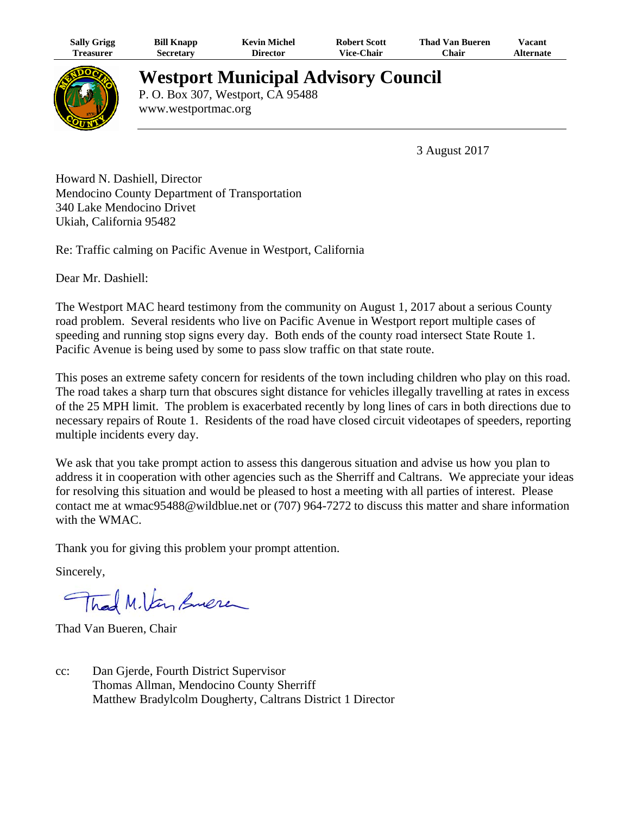| <b>Sally Grigg</b> | <b>Bill Knapp</b> | Kevin Michel    | <b>Robert Scott</b> | Thad Van Bueren | <b>Vacant</b> |
|--------------------|-------------------|-----------------|---------------------|-----------------|---------------|
| reasurer)          | Secretarv         | <b>Director</b> | <b>Vice-Chair</b>   | $^n$ hair       | Alternate     |



## **Westport Municipal Advisory Council**

P. O. Box 307, Westport, CA 95488 www.westportmac.org

3 August 2017

Howard N. Dashiell, Director Mendocino County Department of Transportation 340 Lake Mendocino Drivet Ukiah, California 95482

Re: Traffic calming on Pacific Avenue in Westport, California

Dear Mr. Dashiell:

The Westport MAC heard testimony from the community on August 1, 2017 about a serious County road problem. Several residents who live on Pacific Avenue in Westport report multiple cases of speeding and running stop signs every day. Both ends of the county road intersect State Route 1. Pacific Avenue is being used by some to pass slow traffic on that state route.

This poses an extreme safety concern for residents of the town including children who play on this road. The road takes a sharp turn that obscures sight distance for vehicles illegally travelling at rates in excess of the 25 MPH limit. The problem is exacerbated recently by long lines of cars in both directions due to necessary repairs of Route 1. Residents of the road have closed circuit videotapes of speeders, reporting multiple incidents every day.

We ask that you take prompt action to assess this dangerous situation and advise us how you plan to address it in cooperation with other agencies such as the Sherriff and Caltrans. We appreciate your ideas for resolving this situation and would be pleased to host a meeting with all parties of interest. Please contact me at wmac95488@wildblue.net or (707) 964-7272 to discuss this matter and share information with the WMAC.

Thank you for giving this problem your prompt attention.

Sincerely,

Thad M.Van Suere

Thad Van Bueren, Chair

cc: Dan Gjerde, Fourth District Supervisor Thomas Allman, Mendocino County Sherriff Matthew Bradylcolm Dougherty, Caltrans District 1 Director